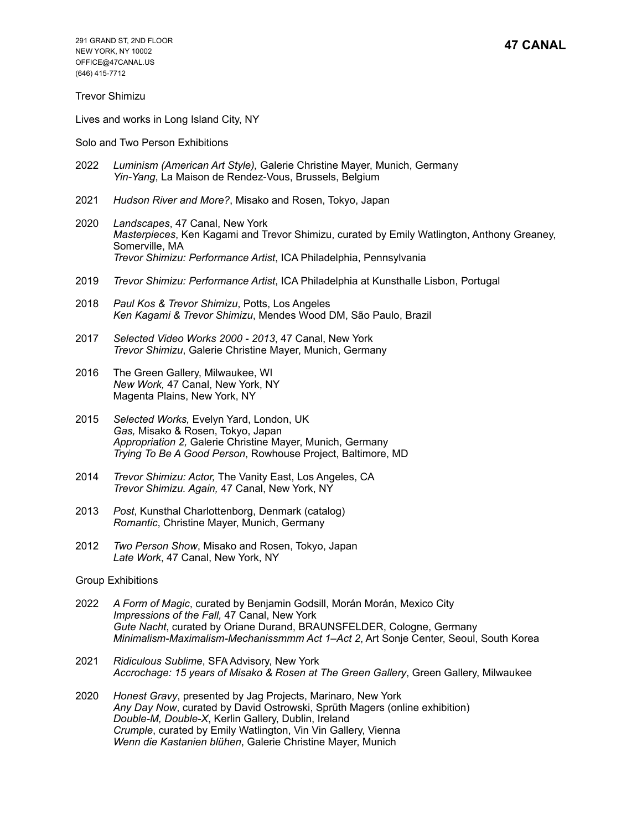Trevor Shimizu

Lives and works in Long Island City, NY

Solo and Two Person Exhibitions

- 2022 *Luminism (American Art Style),* Galerie Christine Mayer, Munich, Germany *Yin-Yang*, La Maison de Rendez-Vous, Brussels, Belgium
- 2021 *Hudson River and More?*, Misako and Rosen, Tokyo, Japan
- 2020 *Landscapes*, 47 Canal, New York *Masterpieces*, Ken Kagami and Trevor Shimizu, curated by Emily Watlington, Anthony Greaney, Somerville, MA *Trevor Shimizu: Performance Artist*, ICA Philadelphia, Pennsylvania
- 2019 *Trevor Shimizu: Performance Artist*, ICA Philadelphia at Kunsthalle Lisbon, Portugal
- 2018 *Paul Kos & Trevor Shimizu*, Potts, Los Angeles *Ken Kagami & Trevor Shimizu*, Mendes Wood DM, São Paulo, Brazil
- 2017 *Selected Video Works 2000 2013*, 47 Canal, New York *Trevor Shimizu*, Galerie Christine Mayer, Munich, Germany
- 2016 The Green Gallery, Milwaukee, WI *New Work,* 47 Canal, New York, NY Magenta Plains, New York, NY
- 2015 *Selected Works,* Evelyn Yard, London, UK *Gas,* Misako & Rosen, Tokyo, Japan *Appropriation 2,* Galerie Christine Mayer, Munich, Germany *Trying To Be A Good Person*, Rowhouse Project, Baltimore, MD
- 2014 *Trevor Shimizu: Actor,* The Vanity East, Los Angeles, CA *Trevor Shimizu. Again,* 47 Canal, New York, NY
- 2013 *Post*, Kunsthal Charlottenborg, Denmark (catalog) *Romantic*, Christine Mayer, Munich, Germany
- 2012 *Two Person Show*, Misako and Rosen, Tokyo, Japan *Late Work*, 47 Canal, New York, NY

Group Exhibitions

- 2022 *A Form of Magic*, curated by Benjamin Godsill, Morán Morán, Mexico City *Impressions of the Fall,* 47 Canal, New York *Gute Nacht*, curated by Oriane Durand, BRAUNSFELDER, Cologne, Germany *Minimalism-Maximalism-Mechanissmmm Act 1–Act 2*, Art Sonje Center, Seoul, South Korea
- 2021 *Ridiculous Sublime*, SFA Advisory, New York *Accrochage: 15 years of Misako & Rosen at The Green Gallery*, Green Gallery, Milwaukee
- 2020 *Honest Gravy*, presented by Jag Projects, Marinaro, New York *Any Day Now*, curated by David Ostrowski, Sprüth Magers (online exhibition) *Double-M, Double-X*, Kerlin Gallery, Dublin, Ireland *Crumple*, curated by Emily Watlington, Vin Vin Gallery, Vienna *Wenn die Kastanien blühen*, Galerie Christine Mayer, Munich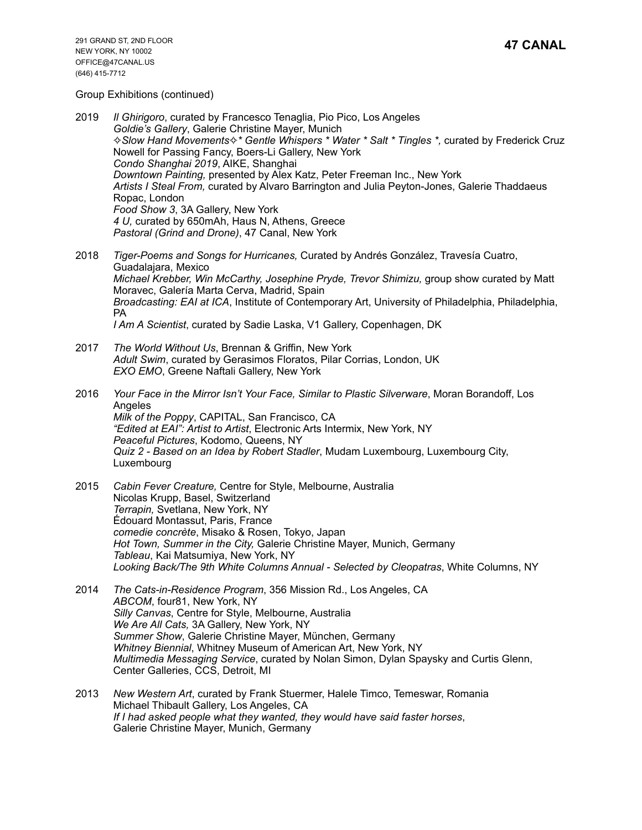Group Exhibitions (continued)

- 2019 *Il Ghirigoro*, curated by Francesco Tenaglia, Pio Pico, Los Angeles *Goldie's Gallery*, Galerie Christine Mayer, Munich ✧*Slow Hand Movements*✧*\* Gentle Whispers \* Water \* Salt \* Tingles \*,* curated by Frederick Cruz Nowell for Passing Fancy, Boers-Li Gallery, New York *Condo Shanghai 2019*, AIKE, Shanghai *Downtown Painting,* presented by Alex Katz, Peter Freeman Inc., New York *Artists I Steal From,* curated by Alvaro Barrington and Julia Peyton-Jones, Galerie Thaddaeus Ropac, London *Food Show 3*, 3A Gallery, New York *4 U,* curated by 650mAh, Haus N, Athens, Greece *Pastoral (Grind and Drone)*, 47 Canal, New York
- 2018 *Tiger-Poems and Songs for Hurricanes,* Curated by Andrés González, Travesía Cuatro, Guadalajara, Mexico *Michael Krebber, Win McCarthy, Josephine Pryde, Trevor Shimizu,* group show curated by Matt Moravec, Galería Marta Cerva, Madrid, Spain *Broadcasting: EAI at ICA*, Institute of Contemporary Art, University of Philadelphia, Philadelphia, PA *I Am A Scientist*, curated by Sadie Laska, V1 Gallery, Copenhagen, DK
- 2017 *The World Without Us*, Brennan & Griffin, New York *Adult Swim*, curated by Gerasimos Floratos, Pilar Corrias, London, UK *EXO EMO*, Greene Naftali Gallery, New York
- 2016 *Your Face in the Mirror Isn't Your Face, Similar to Plastic Silverware*, Moran Borandoff, Los Angeles *Milk of the Poppy*, CAPITAL, San Francisco, CA *"Edited at EAI": Artist to Artist*, Electronic Arts Intermix, New York, NY *Peaceful Pictures*, Kodomo, Queens, NY *Quiz 2 - Based on an Idea by Robert Stadler*, Mudam Luxembourg, Luxembourg City, Luxembourg
- 2015 *Cabin Fever Creature,* Centre for Style, Melbourne, Australia Nicolas Krupp, Basel, Switzerland *Terrapin,* Svetlana, New York, NY Édouard Montassut, Paris, France *comedie concrète*, Misako & Rosen, Tokyo, Japan *Hot Town, Summer in the City,* Galerie Christine Mayer, Munich, Germany *Tableau*, Kai Matsumiya, New York, NY *Looking Back/The 9th White Columns Annual - Selected by Cleopatras*, White Columns, NY
- 2014 *The Cats-in-Residence Program*, 356 Mission Rd., Los Angeles, CA *ABCOM*, four81, New York, NY *Silly Canvas*, Centre for Style, Melbourne, Australia *We Are All Cats,* 3A Gallery, New York, NY *Summer Show*, Galerie Christine Mayer, München, Germany *Whitney Biennial*, Whitney Museum of American Art, New York, NY *Multimedia Messaging Service*, curated by Nolan Simon, Dylan Spaysky and Curtis Glenn, Center Galleries, CCS, Detroit, MI
- 2013 *New Western Art*, curated by Frank Stuermer, Halele Timco, Temeswar, Romania Michael Thibault Gallery, Los Angeles, CA *If I had asked people what they wanted, they would have said faster horses*, Galerie Christine Mayer, Munich, Germany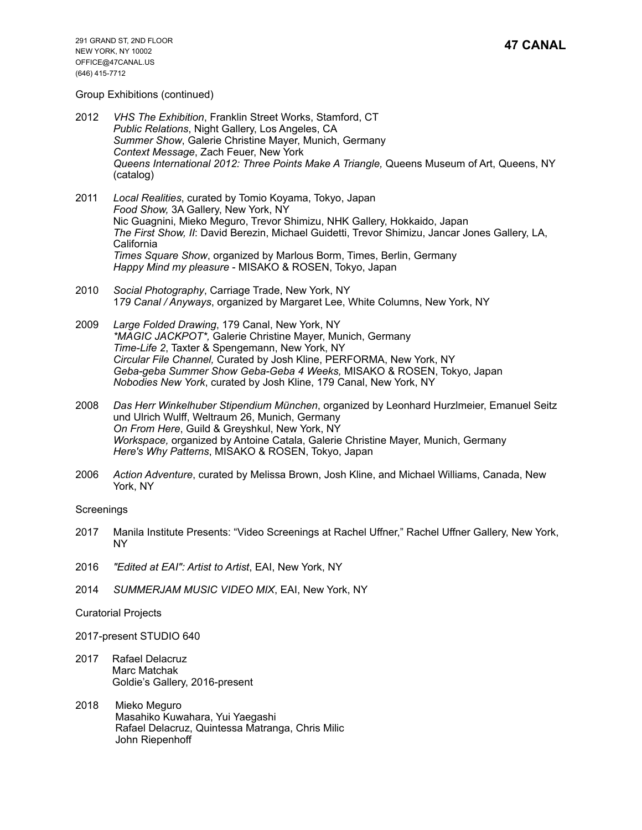### Group Exhibitions (continued)

- 2012 *VHS The Exhibition*, Franklin Street Works, Stamford, CT *Public Relations*, Night Gallery, Los Angeles, CA *Summer Show*, Galerie Christine Mayer, Munich, Germany *Context Message*, Zach Feuer, New York *Queens International 2012: Three Points Make A Triangle,* Queens Museum of Art, Queens, NY (catalog)
- 2011 *Local Realities*, curated by Tomio Koyama, Tokyo, Japan *Food Show,* 3A Gallery, New York, NY Nic Guagnini, Mieko Meguro, Trevor Shimizu, NHK Gallery, Hokkaido, Japan *The First Show, II*: David Berezin, Michael Guidetti, Trevor Shimizu, Jancar Jones Gallery, LA, California *Times Square Show*, organized by Marlous Borm, Times, Berlin, Germany *Happy Mind my pleasure* - MISAKO & ROSEN, Tokyo, Japan
- 2010 *Social Photography*, Carriage Trade, New York, NY 1*79 Canal / Anyways*, organized by Margaret Lee, White Columns, New York, NY
- 2009 *Large Folded Drawing*, 179 Canal, New York, NY *\*MAGIC JACKPOT\*,* Galerie Christine Mayer, Munich, Germany *Time-Life 2*, Taxter & Spengemann, New York, NY *Circular File Channel,* Curated by Josh Kline, PERFORMA, New York, NY *Geba-geba Summer Show Geba-Geba 4 Weeks,* MISAKO & ROSEN, Tokyo, Japan *Nobodies New York*, curated by Josh Kline, 179 Canal, New York, NY
- 2008 *Das Herr Winkelhuber Stipendium München*, organized by Leonhard Hurzlmeier, Emanuel Seitz und Ulrich Wulff, Weltraum 26, Munich, Germany *On From Here*, Guild & Greyshkul, New York, NY *Workspace,* organized by Antoine Catala, Galerie Christine Mayer, Munich, Germany *Here's Why Patterns*, MISAKO & ROSEN, Tokyo, Japan
- 2006 *Action Adventure*, curated by Melissa Brown, Josh Kline, and Michael Williams, Canada, New York, NY

### **Screenings**

- 2017 Manila Institute Presents: "Video Screenings at Rachel Uffner," Rachel Uffner Gallery, New York, NY
- 2016 *"Edited at EAI": Artist to Artist*, EAI, New York, NY
- 2014 *SUMMERJAM MUSIC VIDEO MIX*, EAI, New York, NY
- Curatorial Projects
- 2017-present STUDIO 640
- 2017 Rafael Delacruz Marc Matchak Goldie's Gallery, 2016-present
- 2018 Mieko Meguro Masahiko Kuwahara, Yui Yaegashi Rafael Delacruz, Quintessa Matranga, Chris Milic John Riepenhoff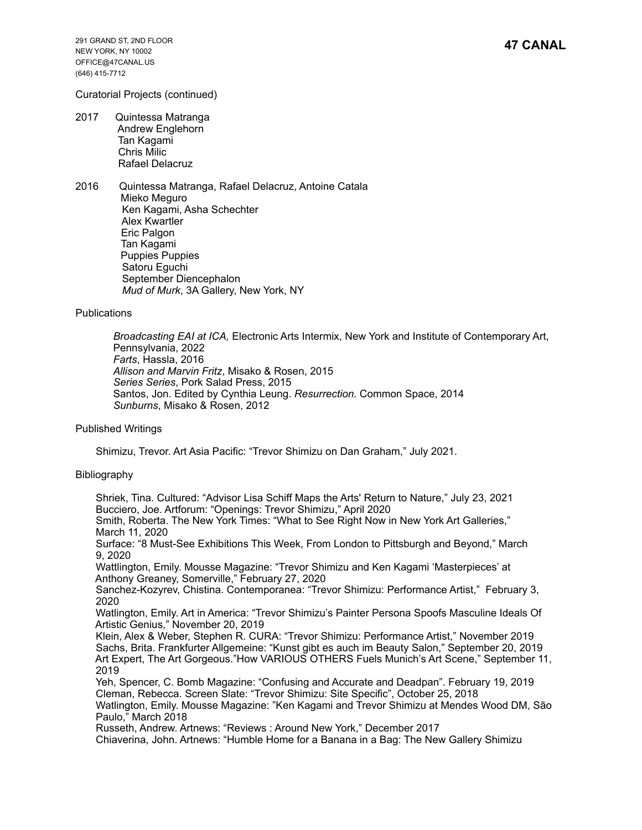# Curatorial Projects (continued)

- 2017 Quintessa Matranga Andrew Englehorn Tan Kagami Chris Milic Rafael Delacruz
- 2016 Quintessa Matranga, Rafael Delacruz, Antoine Catala Mieko Meguro Ken Kagami, Asha Schechter Alex Kwartler Eric Palgon Tan Kagami Puppies Puppies Satoru Eguchi September Diencephalon *Mud of Murk*, 3A Gallery, New York, NY

**Publications** 

*Broadcasting EAI at ICA,* Electronic Arts Intermix, New York and Institute of Contemporary Art, Pennsylvania, 2022 *Farts*, Hassla, 2016 *Allison and Marvin Fritz*, Misako & Rosen, 2015 *Series Series*, Pork Salad Press, 2015 Santos, Jon. Edited by Cynthia Leung. *Resurrection.* Common Space, 2014 *Sunburns*, Misako & Rosen, 2012

Published Writings

Shimizu, Trevor. Art Asia Pacific: "Trevor Shimizu on Dan Graham," July 2021.

### Bibliography

 Shriek, Tina. Cultured: "Advisor Lisa Schiff Maps the Arts' Return to Nature," July 23, 2021 Bucciero, Joe. Artforum: "Openings: Trevor Shimizu," April 2020 Smith, Roberta. The New York Times: "What to See Right Now in New York Art Galleries," March 11, 2020

 Surface: "8 Must-See Exhibitions This Week, From London to Pittsburgh and Beyond," March 9, 2020

 Wattlington, Emily. Mousse Magazine: "Trevor Shimizu and Ken Kagami 'Masterpieces' at Anthony Greaney, Somerville," February 27, 2020

 Sanchez-Kozyrev, Chistina. Contemporanea: "Trevor Shimizu: Performance Artist," February 3, 2020

 Watlington, Emily. Art in America: "Trevor Shimizu's Painter Persona Spoofs Masculine Ideals Of Artistic Genius," November 20, 2019

 Klein, Alex & Weber, Stephen R. CURA: "Trevor Shimizu: Performance Artist," November 2019 Sachs, Brita. Frankfurter Allgemeine: "Kunst gibt es auch im Beauty Salon," September 20, 2019 Art Expert, The Art Gorgeous."How VARIOUS OTHERS Fuels Munich's Art Scene," September 11, 2019

 Yeh, Spencer, C. Bomb Magazine: "Confusing and Accurate and Deadpan". February 19, 2019 Cleman, Rebecca. Screen Slate: "Trevor Shimizu: Site Specific", October 25, 2018 Watlington, Emily. Mousse Magazine: "Ken Kagami and Trevor Shimizu at Mendes Wood DM, São Paulo," March 2018

 Russeth, Andrew. Artnews: "Reviews : Around New York," December 2017 Chiaverina, John. Artnews: "Humble Home for a Banana in a Bag: The New Gallery Shimizu